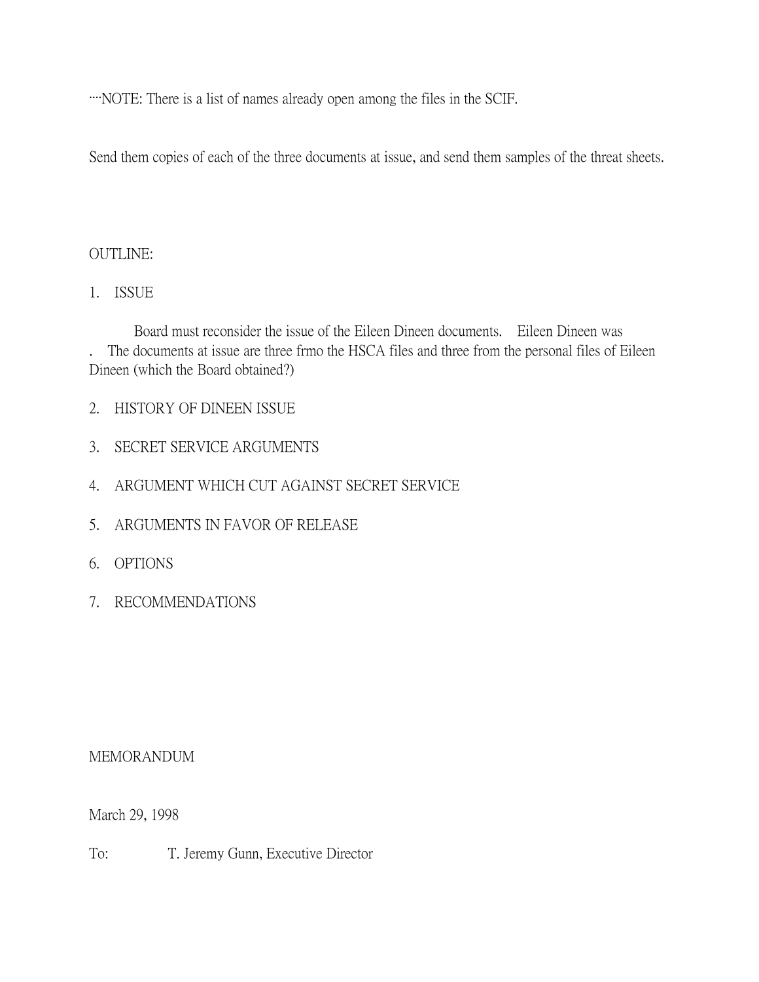····NOTE: There is a list of names already open among the files in the SCIF.

Send them copies of each of the three documents at issue, and send them samples of the threat sheets.

## OUTLINE:

1. ISSUE

Board must reconsider the issue of the Eileen Dineen documents. Eileen Dineen was . The documents at issue are three frmo the HSCA files and three from the personal files of Eileen Dineen (which the Board obtained?)

- 2. HISTORY OF DINEEN ISSUE
- 3. SECRET SERVICE ARGUMENTS
- 4. ARGUMENT WHICH CUT AGAINST SECRET SERVICE
- 5. ARGUMENTS IN FAVOR OF RELEASE
- 6. OPTIONS
- 7. RECOMMENDATIONS

## MEMORANDUM

March 29, 1998

To: T. Jeremy Gunn, Executive Director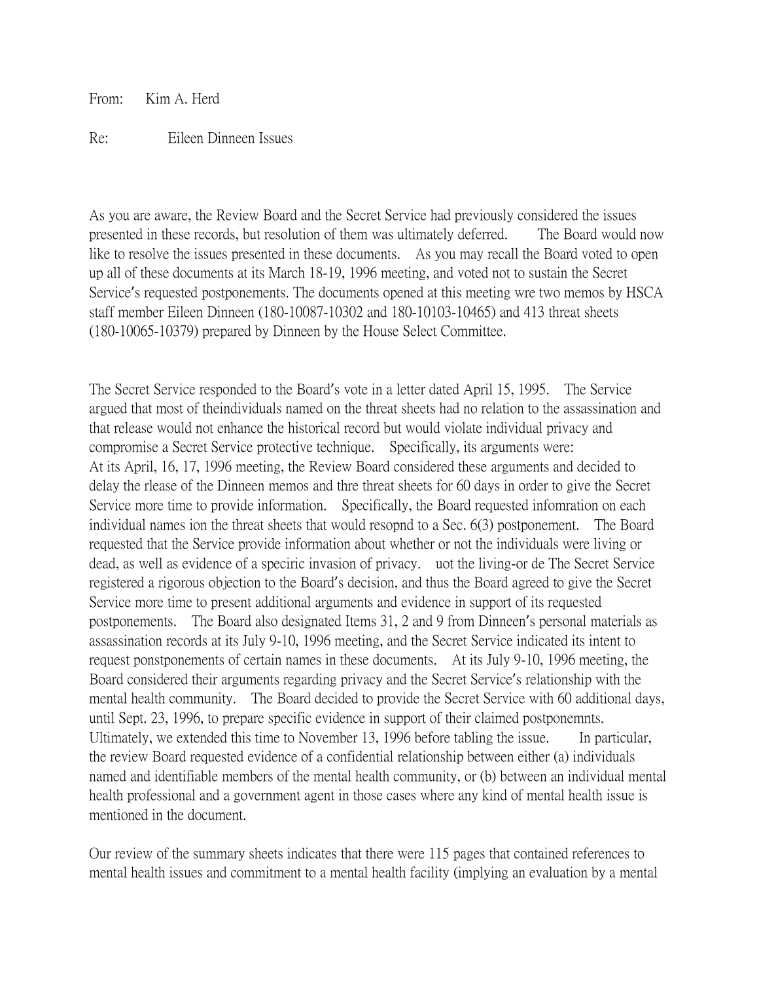From: Kim A. Herd

## Re: Eileen Dinneen Issues

As you are aware, the Review Board and the Secret Service had previously considered the issues presented in these records, but resolution of them was ultimately deferred. The Board would now like to resolve the issues presented in these documents. As you may recall the Board voted to open up all of these documents at its March 18-19, 1996 meeting, and voted not to sustain the Secret Service's requested postponements. The documents opened at this meeting wre two memos by HSCA staff member Eileen Dinneen (180-10087-10302 and 180-10103-10465) and 413 threat sheets (180-10065-10379) prepared by Dinneen by the House Select Committee.

The Secret Service responded to the Board's vote in a letter dated April 15, 1995. The Service argued that most of theindividuals named on the threat sheets had no relation to the assassination and that release would not enhance the historical record but would violate individual privacy and compromise a Secret Service protective technique. Specifically, its arguments were: At its April, 16, 17, 1996 meeting, the Review Board considered these arguments and decided to delay the rlease of the Dinneen memos and thre threat sheets for 60 days in order to give the Secret Service more time to provide information. Specifically, the Board requested infomration on each individual names ion the threat sheets that would resopnd to a Sec. 6(3) postponement. The Board requested that the Service provide information about whether or not the individuals were living or dead, as well as evidence of a speciric invasion of privacy. uot the living-or de The Secret Service registered a rigorous objection to the Board's decision, and thus the Board agreed to give the Secret Service more time to present additional arguments and evidence in support of its requested postponements. The Board also designated Items 31, 2 and 9 from Dinneen's personal materials as assassination records at its July 9-10, 1996 meeting, and the Secret Service indicated its intent to request ponstponements of certain names in these documents. At its July 9-10, 1996 meeting, the Board considered their arguments regarding privacy and the Secret Service's relationship with the mental health community. The Board decided to provide the Secret Service with 60 additional days, until Sept. 23, 1996, to prepare specific evidence in support of their claimed postponemnts. Ultimately, we extended this time to November 13, 1996 before tabling the issue. In particular, the review Board requested evidence of a confidential relationship between either (a) individuals named and identifiable members of the mental health community, or (b) between an individual mental health professional and a government agent in those cases where any kind of mental health issue is mentioned in the document.

Our review of the summary sheets indicates that there were 115 pages that contained references to mental health issues and commitment to a mental health facility (implying an evaluation by a mental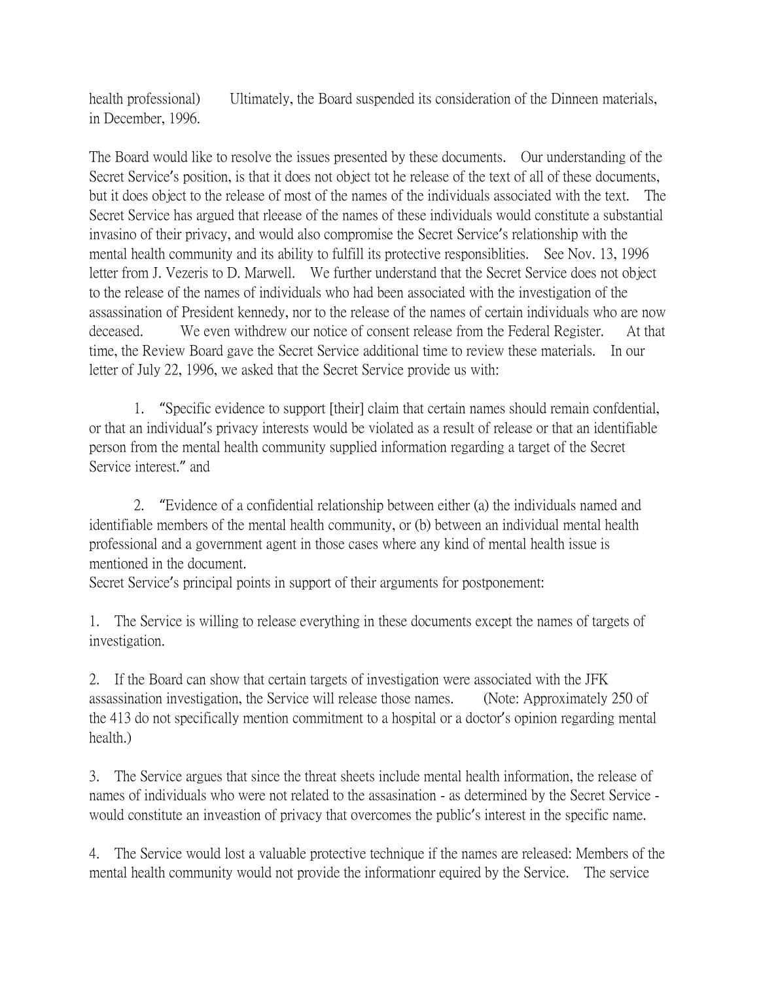health professional) Ultimately, the Board suspended its consideration of the Dinneen materials, in December, 1996.

The Board would like to resolve the issues presented by these documents. Our understanding of the Secret Service's position, is that it does not object tot he release of the text of all of these documents, but it does object to the release of most of the names of the individuals associated with the text. The Secret Service has argued that rleease of the names of these individuals would constitute a substantial invasino of their privacy, and would also compromise the Secret Service's relationship with the mental health community and its ability to fulfill its protective responsiblities. See Nov. 13, 1996 letter from J. Vezeris to D. Marwell. We further understand that the Secret Service does not object to the release of the names of individuals who had been associated with the investigation of the assassination of President kennedy, nor to the release of the names of certain individuals who are now deceased. We even withdrew our notice of consent release from the Federal Register. At that time, the Review Board gave the Secret Service additional time to review these materials. In our letter of July 22, 1996, we asked that the Secret Service provide us with:

1. "Specific evidence to support [their] claim that certain names should remain confdential, or that an individual's privacy interests would be violated as a result of release or that an identifiable person from the mental health community supplied information regarding a target of the Secret Service interest." and

2. "Evidence of a confidential relationship between either (a) the individuals named and identifiable members of the mental health community, or (b) between an individual mental health professional and a government agent in those cases where any kind of mental health issue is mentioned in the document.

Secret Service's principal points in support of their arguments for postponement:

1. The Service is willing to release everything in these documents except the names of targets of investigation.

2. If the Board can show that certain targets of investigation were associated with the JFK assassination investigation, the Service will release those names. (Note: Approximately 250 of the 413 do not specifically mention commitment to a hospital or a doctor's opinion regarding mental health.)

3. The Service argues that since the threat sheets include mental health information, the release of names of individuals who were not related to the assasination - as determined by the Secret Service would constitute an inveastion of privacy that overcomes the public's interest in the specific name.

4. The Service would lost a valuable protective technique if the names are released: Members of the mental health community would not provide the informationr equired by the Service. The service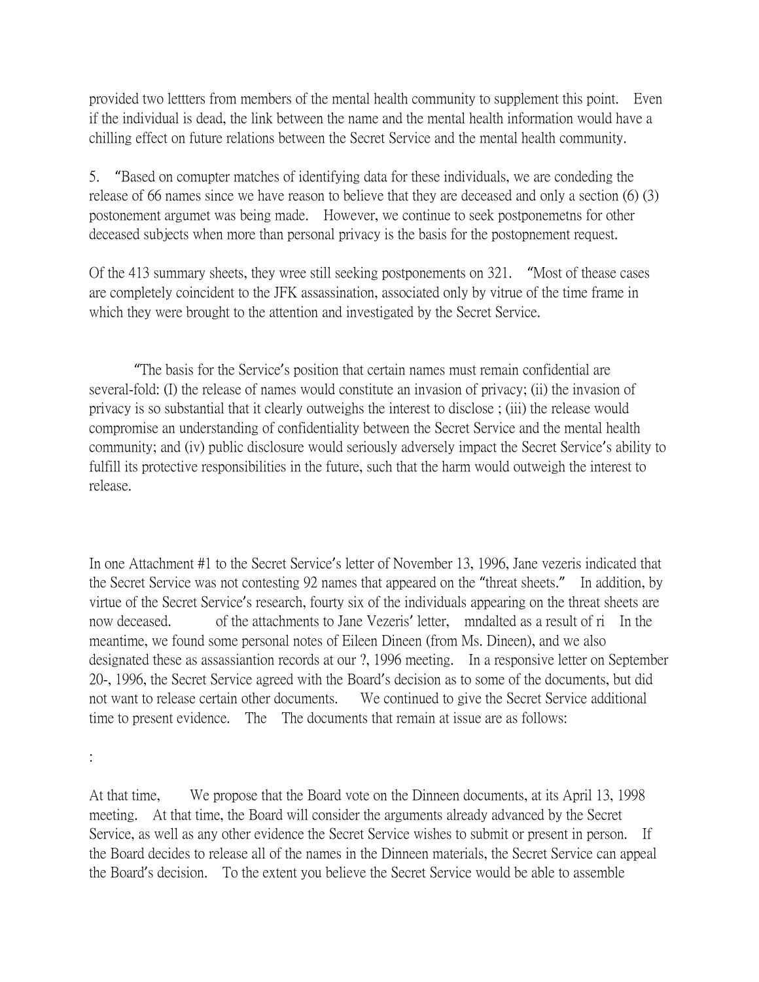provided two lettters from members of the mental health community to supplement this point. Even if the individual is dead, the link between the name and the mental health information would have a chilling effect on future relations between the Secret Service and the mental health community.

5. "Based on comupter matches of identifying data for these individuals, we are condeding the release of 66 names since we have reason to believe that they are deceased and only a section (6) (3) postonement argumet was being made. However, we continue to seek postponemetns for other deceased subjects when more than personal privacy is the basis for the postopnement request.

Of the 413 summary sheets, they wree still seeking postponements on 321. "Most of thease cases are completely coincident to the JFK assassination, associated only by vitrue of the time frame in which they were brought to the attention and investigated by the Secret Service.

"The basis for the Service's position that certain names must remain confidential are several-fold: (I) the release of names would constitute an invasion of privacy; (ii) the invasion of privacy is so substantial that it clearly outweighs the interest to disclose ; (iii) the release would compromise an understanding of confidentiality between the Secret Service and the mental health community; and (iv) public disclosure would seriously adversely impact the Secret Service's ability to fulfill its protective responsibilities in the future, such that the harm would outweigh the interest to release.

In one Attachment #1 to the Secret Service's letter of November 13, 1996, Jane vezeris indicated that the Secret Service was not contesting 92 names that appeared on the "threat sheets." In addition, by virtue of the Secret Service's research, fourty six of the individuals appearing on the threat sheets are now deceased. of the attachments to Jane Vezeris' letter, mndalted as a result of ri In the meantime, we found some personal notes of Eileen Dineen (from Ms. Dineen), and we also designated these as assassiantion records at our ?, 1996 meeting. In a responsive letter on September 20-, 1996, the Secret Service agreed with the Board's decision as to some of the documents, but did not want to release certain other documents. We continued to give the Secret Service additional time to present evidence. The The documents that remain at issue are as follows:

:

At that time, We propose that the Board vote on the Dinneen documents, at its April 13, 1998 meeting. At that time, the Board will consider the arguments already advanced by the Secret Service, as well as any other evidence the Secret Service wishes to submit or present in person. If the Board decides to release all of the names in the Dinneen materials, the Secret Service can appeal the Board's decision. To the extent you believe the Secret Service would be able to assemble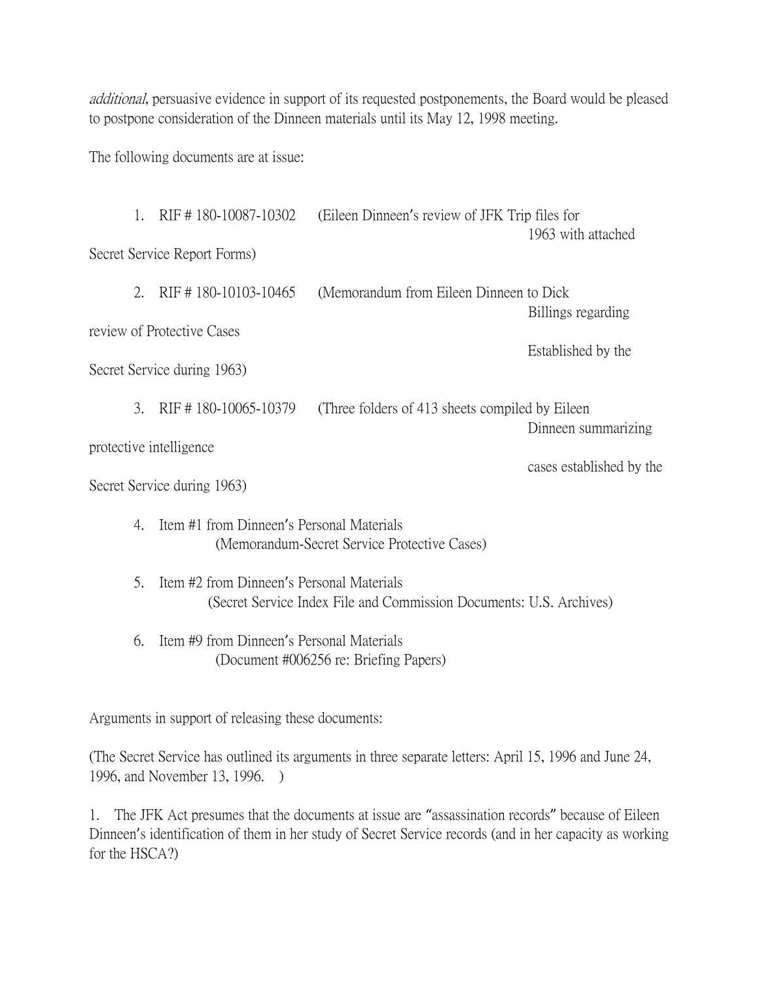additional, persuasive evidence in support of its requested postponements, the Board would be pleased to postpone consideration of the Dinneen materials until its May 12, 1998 meeting.

The following documents are at issue:

|                                                         | 1.                                                                                              | RIF #180-10087-10302                                                                                             | (Eileen Dinneen's review of JFK Trip files for   | 1963 with attached |  |
|---------------------------------------------------------|-------------------------------------------------------------------------------------------------|------------------------------------------------------------------------------------------------------------------|--------------------------------------------------|--------------------|--|
| Secret Service Report Forms)                            |                                                                                                 |                                                                                                                  |                                                  |                    |  |
|                                                         | 2.                                                                                              | RIF #180-10103-10465                                                                                             | (Memorandum from Eileen Dinneen to Dick)         | Billings regarding |  |
| review of Protective Cases                              |                                                                                                 |                                                                                                                  |                                                  | Established by the |  |
| Secret Service during 1963)                             |                                                                                                 |                                                                                                                  |                                                  |                    |  |
|                                                         | 3.                                                                                              | RIF #180-10065-10379                                                                                             | (Three folders of 413 sheets compiled by Eileen) |                    |  |
| Dinneen summarizing<br>protective intelligence          |                                                                                                 |                                                                                                                  |                                                  |                    |  |
| cases established by the<br>Secret Service during 1963) |                                                                                                 |                                                                                                                  |                                                  |                    |  |
|                                                         | Item #1 from Dinneen's Personal Materials<br>4.<br>(Memorandum-Secret Service Protective Cases) |                                                                                                                  |                                                  |                    |  |
|                                                         | 5 <sub>1</sub>                                                                                  | Item #2 from Dinneen's Personal Materials<br>(Secret Service Index File and Commission Documents: U.S. Archives) |                                                  |                    |  |
|                                                         | Item #9 from Dinneen's Personal Materials<br>6.<br>(Document #006256 re: Briefing Papers)       |                                                                                                                  |                                                  |                    |  |

Arguments in support of releasing these documents:

(The Secret Service has outlined its arguments in three separate letters: April 15, 1996 and June 24, 1996, and November 13, 1996. )

1. The JFK Act presumes that the documents at issue are "assassination records" because of Eileen Dinneen's identification of them in her study of Secret Service records (and in her capacity as working for the HSCA?)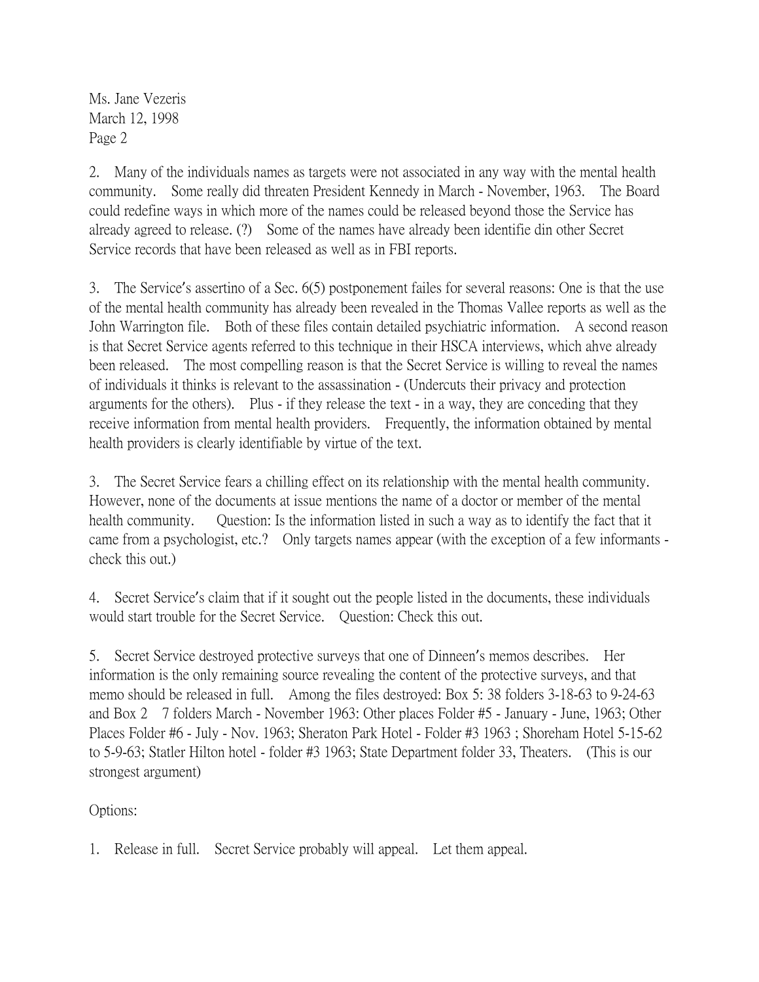Ms. Jane Vezeris March 12, 1998 Page 2

2. Many of the individuals names as targets were not associated in any way with the mental health community. Some really did threaten President Kennedy in March - November, 1963. The Board could redefine ways in which more of the names could be released beyond those the Service has already agreed to release. (?) Some of the names have already been identifie din other Secret Service records that have been released as well as in FBI reports.

3. The Service's assertino of a Sec. 6(5) postponement failes for several reasons: One is that the use of the mental health community has already been revealed in the Thomas Vallee reports as well as the John Warrington file. Both of these files contain detailed psychiatric information. A second reason is that Secret Service agents referred to this technique in their HSCA interviews, which ahve already been released. The most compelling reason is that the Secret Service is willing to reveal the names of individuals it thinks is relevant to the assassination - (Undercuts their privacy and protection arguments for the others). Plus - if they release the text - in a way, they are conceding that they receive information from mental health providers. Frequently, the information obtained by mental health providers is clearly identifiable by virtue of the text.

3. The Secret Service fears a chilling effect on its relationship with the mental health community. However, none of the documents at issue mentions the name of a doctor or member of the mental health community. Question: Is the information listed in such a way as to identify the fact that it came from a psychologist, etc.? Only targets names appear (with the exception of a few informants check this out.)

4. Secret Service's claim that if it sought out the people listed in the documents, these individuals would start trouble for the Secret Service. Question: Check this out.

5. Secret Service destroyed protective surveys that one of Dinneen's memos describes. Her information is the only remaining source revealing the content of the protective surveys, and that memo should be released in full. Among the files destroyed: Box 5: 38 folders 3-18-63 to 9-24-63 and Box 2 7 folders March - November 1963: Other places Folder #5 - January - June, 1963; Other Places Folder #6 - July - Nov. 1963; Sheraton Park Hotel - Folder #3 1963 ; Shoreham Hotel 5-15-62 to 5-9-63; Statler Hilton hotel - folder #3 1963; State Department folder 33, Theaters. (This is our strongest argument)

Options:

1. Release in full. Secret Service probably will appeal. Let them appeal.